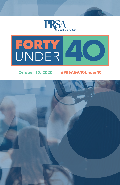



# **October 15, 2020 #PRSAGA40Under40**

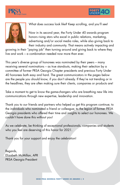





What does success look like? Keep scrolling, and you'll see!

Now in its second year, the Forty Under 40 awards program honors rising stars who excel in public relations, marketing, advertising and/or social media roles, while also giving back to their industry and community. That means actively impacting and

growing in their "paying job" then turning around and giving back to where they live and work – a combination needed now more than ever.

This year's diverse group of honorees was nominated by their peers – many receiving several nominations – as true standouts, making their selection by a committee of former PRSA Georgia Chapter presidents and previous Forty Under 40 honorees both easy and hard. The great communicators in the pages below are the people you should know, if you don't already. If they're not trending or in the headlines, they are often making sure their clients, companies or products are!

Take a moment to get to know the game-changers who are breathing new life into communications through new expertise, leadership and innovation.

Thank you to our friends and partners who helped us get this program continue; to the individuals who nominated a friend or colleague; to the legion of former PRSA Georgia presidents who offered their time and insights to select our honorees. We couldn't have done this without you!

As we celebrate, be thinking of exceptional professionals, companies and students who you feel are deserving of this honor for 2021.

Thank you for your support and enjoy the celebration!

Regards, Elizabeth McMillan, APR PRSA Georgia President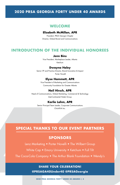### **2020 PRSA GEORGIA FORTY UNDER 40 AWARDS**

# **WELCOME**

#### **Elizabeth McMillan, APR**

President, PRSA Georgia Chapter Director, Global Brand and Communications

#### **INTRODUCTION OF THE INDIVIDUAL HONOREES**

#### **Jenn Bins**

Vice President, Marketplace Leader, Atlanta

Ketchum

#### **Dwayna Haley**

Senior VP and Practice Director, Brand Innovation & Impact Porter Novelli

#### **Elyse Hammett, APR**

Vice President of Marketing and Communications Community Foundation for Greater Atlanta

#### **Neil Hirsch, APR**

Head of Communications, Global Marketing, Commercial & Technology InterContinental Hotels Group

#### **Karlie Lahm, APR**

Senior Principal Team Leader, Corporate Communications Chick-fil-A Inc.

# **SPECIAL THANKS TO OUR EVENT PARTNERS**

# **SPONSORS**

Lenz Marketing • Porter Novelli • The Wilbert Group

White Cap • Emory University • Ketchum • Full Tilt

The Coca-Cola Company • The Arthur Blank Foundation • Wendy's

#### **SHARE YOUR CELEBRATION!**

**@PRSAGA40Under40 @PRSAGeorgia**

**2020 PRSA GEORGIA FORTY UNDER 40 AWARDS | 3**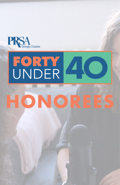

# FORTY 40

# **DNORE**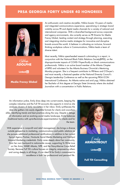

Nikkia **ADOLPHE**

**Linked** in

#### **Media Frenzy Global**

An enthusiastic and creative storyteller, Nikkia boasts 10+years of media and integrated communications experience, specializing in strategic brand visibility across PR and digital media channels for a variety of national and international companies. With a diversified background across corporate and agency environments, she currently serves as PR Director for Media Frenzy Global, leading content and strategy through planning, executing and integrating intuitive media strategies for innovative and disruptive brands around the world. A believer in cultivating an inclusive, forwardthinking workplace culture in Communications, Nikkia leads a team of diverse talent.

Most recently, Nikkia spearheaded research culminating in a report, in conjunction with the National Black Public Relations Society(BPRS), on the disproportionate impacts of COVID-19specifically on black communications professionals. Nikkia is an active board member of the Atlanta Chapter of BPRS and volunteers for the Atlanta Business Chronicle's Mentoring Monday program. She is a frequent contributor to PRNews and O'Dwyer's and most recently, a featured speaker at the National Diversity Council's Georgia Leadership Conference as well as the upcoming PRSA ICON International Conference. An Atlanta native and avid yogi, Nikkia obtained her Bachelor of Arts degree at Georgia State University where she studied Journalism with a concentration in Public Relations.

An information junkie, Emily dives deep into current events, keeping the complex industries and the Full Tilt accounts she supports in mind as she analyzes dozens of daily newsletters in her inbox. Emily synthesizes the data she gathers into easily digestible formats for clients and coworkers alike, identifying trends and best practices along the way. Despite a deluge of information and an evolving social media landscape, Emily balances traditional tactics with up-to-the-minute experimentation for clients and for the team.

With experience in nonprofit and retail management, she brings a diverse outside perspective to marketing, communications and public relations as she pursues additional professional certifications in addition to her current Sprout Agency Partner, Hootsuite Social Media Marketing and HubSpot Inbound Marketing credentials. Emily cares deeply about her community, from her own backyard to nationwide causes, supporting To Write Love on Her Arms, WABE Atlanta, NPR, and the Navy-Marine Corps Relief Society. Because Full Tilt's culture focuses on integrity, empowering others and caring deeply in all things, it's an ideal fit for Emily's commitment to excellence in both her professional and personal life.



Emily **ARMENTROUT**

**Linked** in

**Full Tilt Consulting**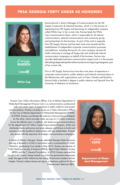

Karissa **BURSCH**

**Linked** in

**White Cap**

Karissa Bursch is Senior Manager of Communications for the HD Supply Construction & Industrial business, which is in the process of separating from HD Supply and becoming an independent company called White Cap. In her current role, Karissa leads the White Cap Communications Team, which is responsible for all internal communications, external communications and community giving and partnerships for the business. As part of the work to separate from HD Supply, Karissa and her team have most recently led the establishment of independent corporate communications processes and platforms, including the launch of a new company intranet all while continuing to manage all large-scale and small-scale internal communication campaigns on behalf of the business. Karissa also provides dedicated executive communication support and is in the process ofbuildingindependentpublicrelationsandcommunitygivingstrategiesas part of her current role.

Prior to HD Supply, Karissa has more than nine years of experience in corporate communications, public relations and internal communications in the Atlanta-area with organizations such as Fiserv, Novelis and RaceTrac. Karissa holds a bachelor's degree in public relations and Spanish from the University of Alabama at Tuscaloosa.

Kinesia Cato, Public Information Officer, City of Atlanta Department of Watershed Management Kinesia Cato is a communications professional with over seven years of experience in public relations and project communications. Kinesia currently serves as a Public Information Officer for the City of Atlanta Department of Watershed Management (DWM). At DWM, Kinesia coordinates the external communications strategies for the utility, which provides water services to1.2 million customers across the Atlanta area. In addition, she leads project communications for the department's \$1 billion Capital Improvement Program, drafts and distributes media advisories and press releases and thrives to build and maintain mutually beneficial relationships with key stakeholders. Kinesia also assists with the execution of strategic communications campaigns.

A native of Atlanta, Georgia, Kinesia attended Georgia State University earning a Bachelor's of Arts in Journalism with a concentration in Public Relations, graduating Cum Laude in May 2015. Kinesia isa member of Public Relations Society of America (PRSA), Black Public Relation Society (BPRS) and the T. Howard Foundation. In 2018, Kinesia received the YoungGov40 Award, being named one of the top government employees under the age of 40in Atlanta by the Young Government Leaders Atlanta chapter. Kinesia's latest venture serving as a freelance publicist for Black Entertainment Television (BET).



Kinesia **CATO**

**Linked** in

**Department of Watershed Management**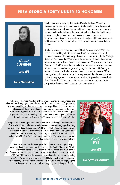

Rachel **CUSHING**

**Linked** fin

**Lenz Marketing**

Rachel Cushing is currently the Media Director for Lenz Marketing, overseeing the agency's social media, digital content, advertising, and media relations initiatives. Throughout her7+ years in the marketing and communications field, Rachel has worked with clients in the healthcare, nonprofit, higher education, small business, home services, and entertainment industries. She is also a guest lecturer at Emory University's Rollins School of Public Health for the program's Healthcare Marketing course.

Rachel has been an active member of PRSA Georgia since 2013. Her passion for working with (and learning from) the next generation of communications and marketing professionals drove her to join the College Relations Committee in 2014, where she served for the next three years. After taking a short break from the committee in 2018, she returned as a Co-Chair in 2019 where she currently leads year-round advisor relations efforts as well as student programming logistics for the PRSA Georgia Annual Conference. Rachel has also been a panelist for several PRSA Georgia Annual Conference sessions, represented the chapter at various university engagements across Atlanta, and participated in judging both the 2018 and 2019 Richmond PRSA Phoenix Awards. She is also the recipient of the May 2020 Chapter Champion Award.

Kelly Dye is the Vice President of Everywhere Agency, a social media and influencer marketing agency in Atlanta. Her deep understanding of operations, big-picture thinking, and relentless drive have helped her build a track record of successful digital and influencer campaigns throughout her tenure at Everywhere Agency. Since2018,Kelly has been successful in doubling the agency's billings while leading her team in award-winning campaigns for brands like Macy's, Carter's, FAGE, Autotrader, and Georgia-Pacific.

Cutting her teeth working in traditional media as a Marketing Coordinator with Cox Media Group Jacksonville, Kelly evolved with the changing advertising landscape by joining Everywhere in 2011as a Digital Account Manager and advanced to Senior Digital Strategist in three short years. During this time, she created and executed digital campaigns for both B2Band B2C clients, including IMAX, Cox Communications, Macy's, UP TV, Autotrader, Heart of Haiti, Promethean, Novelis, and many others.

She has shared her knowledge of the influencer marketing industry by speaking at conferences nationwide, such as The Social Shake-Up, Atlanta Marketing Association, Women in Travel Summit, and the National Conference on Health Communication. Kelly attended the University of Florida (GO GATORS), where she followed her aptitude for marketing, receiving a B.A. in Advertising with a minor in Art History. Kelly and her husband, Peter, recently welcomed their first child into the world and are enjoying the adventure of parenthood while navigating the challenges of 2020.



Kelly **DYE**

**Linked** in

**Everywhere Agency**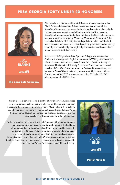

Alex **EBANKS**

**Linked** in

**The Coca-Cola Company**

Alex Ebanks is a Manager of Brand & Business Communications in the North America Public Affairs & Communications department at The Coca-Cola Company. In her current role, she leads media relations efforts for the company's sparkling portfolio of brands in the U.S. including Coca-Cola trademark and Sprite. Prior to joining The Coca-Cola Company, she held a position as a Senior Marketing Manager at Allied MOXY, the multicultural division of Allied Integrated Marketing. In her role at Allied, she strategically managed and created publicity, promotions and marketing campaigns both nationally and regionally, for entertainment-based clients within the television & film industry.

As a proud HBCU graduate from Spelman College, she received her Bachelor of Arts degree in English with a minor in Writing. Alex is co-chair of the communications subcommittee for the Public Relations Society of America's (PRSA)National Diversity & Inclusion Committee and a board member of Coca-Cola's African American Business Resource Group and Women in Film & Television-Atlanta, a member of Alpha Kappa Alpha Sorority Inc and in 2017, she was named a Top 30 Under 30 HBCU Alumni, on behalf of HBCU Buzz.

Kristen Ellis is a senior account executive at Porter Novelli. Kristen leads corporate communications, social marketing, and brand and reputation management programs for a variety of Porter Novelli clients, from publicly traded companies to nonprofits. Her current accounts include Bayer Crop Science, Soma, Habitat for Humanity and Johnson & Johnson, and her previous client work spans from the CDC to Food Lion.

Kristen graduated from The University of Alabama with a degree in public relations and minors in business and Spanish. Some of the highlights of her career thus far include meeting Steve Harvey and Lo Bosworth, participating in Omnicom's Emerging Stars professional development program and receiving a regional Client Service Excellence Award. Kristen is an active volunteer within PRSA Georgia co-leading the College Relations Committee, and she has also previously served on the Mentorship Committee and Young Professionals Special Interest Group.



Kristen **ELLIS**

**Linked** in

**Porter Novelli**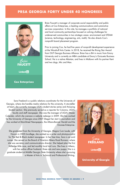

**FAUCETT**

**Linked** in

**Cox Enterprises**

Brien Faucett is manager of corporate social responsibility and public affairs at Cox Enterprises, a leading communications and automotive services corporation. In this role, he manages a portfolio of national and local community partnerships focused on solving challenges for underserved communities in two strategic areas: environment and STEAM (science, technology, engineering, arts, math). He also directs Cox's nonprofit board placement program.

Prior to joining Cox, he had five years of nonprofit development experience at the Woodruff Arts Center. In 2018, he received the Rising Star Award from OUT Georgia Business Alliance. Brien has a BA in music from Emory University and is currently an MBA candidate at Emory's Goizueta Business School. He is a native Atlantan, and lives in Midtown with his partner Kent Brien and two dogs, Mic and Max.

Sara Freeland is a public relations coordinator for the University of Georgia, where she handles media relations for the university. A storyteller at heart, she currently manages UGA's student stories series and Amazing Student section. She previously served as a reporter for Columns, UGA's faculty and staff newspaper. She was the manager of UGA's Master Calendar, which she oversaw a website redesign in 2009. She has worked for the University of Georgia since 2007.Shegot her start in journalism and has worked at MainStreet Newspapers, the Athens-Banner Herald and the Oconee Enterprise.

She graduated from the University of Georgia, Magna Cum Laude, with Honors in 2005.Incollege, she worked as a writer and photojournalist for The Red & Black student newspaper. In her free time, Sara is an avid runner. She served on the Board of Directors Athens Road Runners, where she was secretary and communications director. She helped plan the first Milledge Mile race, and led monthly local trail runs. She lives in Athens, with her police officer husband, three cats and new puppy. She is a graduate student at Middle Georgia State University where she's pursuing a Master of Arts in Technical and Professional Writing.



Sara **FREELAND**

**Linked** in

**University of Georgia**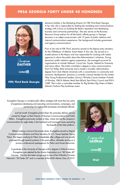

Jewanna **GAITHER**

**Linked** fin

**Fifth Third Bank Georgia**

Jewanna Gaither is the Marketing Director for Fifth Third Bank Georgia. In her role, she is responsible for leading the marketing and communications strategy with a focus on building the Bank's reputation and developing business and community partnerships. She also serves as the Business Resource Group advisor for all the bank's affinity groups in Georgia. Jewanna is an adept communicator with 10 years of public relations and internal communications experience. Her background includes government and agency communications.

Prior to her role at Fifth Third, Jewanna served as the deputy press secretary for the 59thMayor of Atlanta, Kasim Reed. In this role, she served as a trusted advisor to the Mayor and was responsible for working with media agencies to inform the public about the Administration's initiatives. During Jewanna's public relations agency experience, she managed accounts for organizations to include Walmart, Coca-Cola, Toyota, Habitat for Humanity and many others. She holds a bachelor's degree in mass communications from Fort Valley State University and a master's of public administration degree from Clark Atlanta University with a concentration in community and economic development. Jewanna is currently a board member for the United Way Young Professional Leaders, Emory's Winship Cancer Institute's Friends of Winship, YMCA Atlanta Head Start &Early Start Policy Council and KSU's CARE. She is also a committee member for Big Brothers Big Sisters of Metro Atlanta's Fashion Play fundraiser event.

Evangeline George is a trusted public affairs strategist with more than ten years of experience developing and executing communications, campaigns, and partnerships for high-profile businesses and elected officials.

Just last month, Evangeline joined Shipt, the same-day delivery service owned by Target, as their Director of Business Communications and Public Affairs. Evangeline previously worked at Uber, where she led the company's communications for eight states in the Southeast and managed issues spreading the breadth of the Uber platform.

Before making a move to the private sector, Evangeline served as Deputy Communications Director and Press Secretary for U.S. House Speaker Nancy Pelosi. She began working for Pelosi immediately after college and was quickly promoted through several positions in the press office, ultimately serving as a primary on-the-record spokesperson for Pelosi and House Democrats.

A graduate of the University of Georgia with a degree in Political Science, Evangeline was selected by the Alumni Association as a "40 Under 40" honoree. She has also been recognized as one of the Orthodox Christian Network's "30 Under 30" and is a member of the LEAD Atlanta Class of 2019.



Evangeline **GEORGE**

**Linked** in

**Shipt**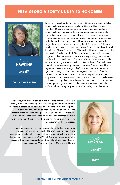

Tenee **HAWKINS**

**Linkedfin** 

**The Hawkins Group**

Tenee Hawkins is President of The Hawkins Group, a strategic marketing communications agency based in Atlanta, Georgia. Hawkins has more than 15 years of experience in nonprofit leadership, strategic communications, fundraising, stakeholder engagement, media relations and crisis management. Her unique background includes agency and in-house experience in the corporate, government and nonprofit sectors. Under her leadership, The Hawkins Group has worked with a wide range of clients across sectors including Teach For America, Children's Healthcare of Atlanta, Girl Scouts of Greater Atlanta, Charcot Marie Tooth Association, Disney Channels and BNY Mellon. Hawkins also directs public relations for Goodwill of North Georgia, including the media relations program, crisis management, thought leadership strategy and diversity and inclusion communications. She raises mission awareness and public support for the organization, which is ranked as the top Goodwill in the nation for workforce development and operates 67 retail stores. Hawkins began her career in Washington, D.C. at a boutique public relations agency executing communications strategies for Microsoft's Build Your Business Tour, the Gates Millennium Scholars Program and the NAACP Image Awards. A passionate community servant, Hawkins currently serves on the United Way of Greater Atlanta's Cole Women United Cabinet. She and enjoys serving as a mentor in the Sister 2 Sister Alumnae-Students Professional Mentoring Program at Spelman College, her alma mater.

Kristen Hoyman currently serves as the Vice President of Marketing at REPAY, a payment technology and processing provider headquartered in Atlanta, Georgia. In this role, Kristen is responsible for the company's overall marketing initiatives, branding efforts, and internal and external communication strategies. Before joining REPAY, Kristen was a Senior Relationship Manager for the financial institution market at Abrigo, formerly Sageworks, where she was responsible for account management and client success.

She is a member of The Junior League of Atlanta, Inc., a non-profit organization of women committed to promoting voluntarism and developing the potential of women, where she served as the Director of Internal Communications from 2019 – 2020. Kristen received both her Master of Business Administration and Bachelor of Science in Business Administration Marketing from the University of Florida.



Kristen **HOYMAN**

**Linked** in

**REPAY**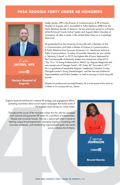

Kaden **JACOBS, APR**

**Linked** in

**Doctors Hospital of Augusta**

Kaden Jacobs, APR is the Director of Communications & PR at Doctors Hospital of Augusta and is Accredited in Public Relations (APR) from the Public Relations Society of America. He has previously served as a Director at the Richmond County School System and Augusta Metro Chamber of Commerce, all after a career in the United States Navy as a Cryptologic Technician.

He graduated from the University of Louisville with a Bachelor of Arts in Communication and holds a Master of Science in Communications & Public Relations from Syracuse University's S.I. Newhouse School of Public Communications. A native of Louisville, Kentucky, he was named a "Kentucky Colonel" in 2019; the highest title of honor bestowed by the Commonwealth of Kentucky. Kaden was named one of the 2015 "Top 10 in 10 Young Professionals to Watch" by Augusta Magazine and was named one of Georgia Trend's "40 Under 40" honorees in 2017. He is a graduate of Leadership Augusta, Leadership Columbia County, GeorgiaForward's Young Gamechangers, and the Harvard Institute for Superintendents and District Leaders, as well as serving on local non-profit boards.

Despite his professional accomplishments, he is most proud of his work as a father to his six-year-old son, Xavier.

Eugenia leads Brunet-Garcia's creative PR strategy and engagement efforts, spreading awareness about social impact campaigns that tackle some of the toughest issues facing our nation today.

Throughout the course of her nine-year career thus far, she has managed both national and grassroots PR tactics for a portfolio of entertainment, lifestyle and consumer brands. She has a special gift when it comes to ideating unique brand experiences, managing logistics, connecting with consumer audiences, and transforming organizational goals into results across a diverse list of clients.



Eugenia **JOHNSON**

**Linked** in

**Brunet-Garcia**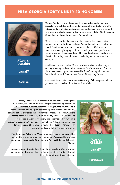

Marissa **KANDEL**

**Linkedfin** 

**Ketchum**

Marissa Kandel is known throughout Ketchum as the media relations counselor who gets the big hits, on demand. As the lead retail and CPG industry media strategist, Marissa provides strategic counsel and support for a variety of clients, including Carvana, Clorox, Frito-Lay North America, Orangetheory Fitness, Target, Wendy's, and others.

Marissa has generated thousands of placements in key major media, regional, local and trade publications. Among the highlights, she brought a Wall Street Journal reporter to a strawberry field in California to demonstrate Wendy's supply chain and how it gets fresh ingredients to restaurants across the country. In addition, Marissa has delivered dozens of national morning show placements, including two in one week for Wendy's.

In addition to earned media, Marissa leads executive visibility programs, securing speaking and earned opportunities for C-suite leaders. She has placed executives at prominent events like Fast Company's Innovation Festival and the Wall Street Journal Future of Everything Festival.

A native of Atlanta, Ga., Marissa is a University of Florida public relations graduate and a member of the Atlanta Press Club.

Macey Kessler is the Corporate Communications Manager at PulteGroup, Inc., one of America's largest homebuilding companies with operations in 40 major markets throughout the country. She is responsible for managing the company's public relations and internal communications strategies. In hercurrent role, Macey led communications for the national launch of Pulte Smart Home, oversaw the company's Great Place to Work certification, and spearheaded its "Dynamic Women in Leadership" video series highlighting PulteGroup's top-ranking female leaders. She is also the host and producer of AMinute with Marshall podcast with the President and CEO.

Prior to joining PulteGroup, Macey was a multimedia journalist at the top-rated television news station in Savannah, Georgia. Her previous media credits include ABC News in New York, WSB-TV and CBS46 in Atlanta.

Macey is a proud graduate of the at the University of Georgia where she earned her Bachelor of Arts in Journalism at the Grady College of Journalism and Mass Communication.



Macey **KESSLER**

**Linked** in

**PulteGroup**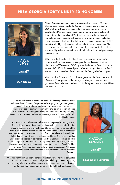



**Linkedfin** 

**VOX Global**

Allison Kopp is a communications professional with nearly 10 years of experience, based in Atlanta. Currently, she is a vice president at VOX Global, a strategic communications agency headquartered in Washington, DC. She specializes in media relations and is co-lead of the media relations practice at VOX. Allison has developed internal and external communications strategies on a range of issues, including employee communications, stakeholder and community engagement, CEO executive visibility, major organizational milestones, among others. She has also worked on communications campaigns covering topics such as employability, ed-tech innovations, and national coalition and partnership announcements.

Allison has dedicated much of her time to volunteering for women's advocacy efforts. She served as vice president and communications director of the Washington, DC Chapter of the National Organization for Women (DC NOW) for several years. After returning to Atlanta, in 2016, she was named president of and launched the Georgia NOW chapter.

Allison holds a Master's in Political Management at the Graduate School of Political Management at The George Washington University. She graduated from UGA cum laude with a dual degree in International Affairs and Women's Studies.

Kristilyn Whigham Lambert is an established management consultant with more than 10 years of experience developing change management, communications, and organizational development solutions for public and private sector clients. She currently works as an associate at Booz Allen Hamilton, a leading consulting firm, where she manages change communications planning and employee engagement initiatives for clients in the Health market.

A communicator at heart and a believer in the power of sharing stories, Kristilyn is passionate about leading dialogue to increase understanding of complex issues and inspire change. She currently serves as lead of the Booz Allen Hamilton Atlanta African American Network and a member of the firm's Atlanta Diversity and Inclusion Committee where is she dedicated to building a more diverse and inclusive workforce. Kristilyn received her undergraduate degree in political science from Spelman College, and her master's degree in journalism from Georgetown University. Kristilyn has also developed an expertise in change communications and is a Prosci Certified Change Practitioner and received a Change Management Advanced Practitioner certification from Georgetown University McDonough School of Business.

Whether it's through her professional or volunteer work, Kristilyn is committed to using her communications background to help government agencies, nonprofit organizations, and businesses drive change, overcome challenges, and pursue their mission and goals with the right tools and resources.



Kristylyn **LAMBERT**

**Linked** in

**Booz Allen Hamilton**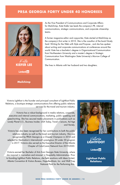

Kate **KIEFER LEE**

**Linkedin** 

**Mailchimp**

As the Vice President of Communications and Corporate Affairs for Mailchimp, Kate Kiefer Lee leads the company's PR, internal communications, strategic communications, and corporate citizenship teams.

A former magazine editor and copywriter, Kate started at Mailchimp as the company's first writer in 2010. She is the coauthor of the book Nicely Said: Writing for the Web with Style and Purpose , and she has spoken about writing and corporate communications at conferences around the world. Kate has a bachelor's degree in Organizational Communication from Northeastern University and a master's degree in Strategic Communication from Washington State University's Murrow College of Communication.

She lives in Atlanta with her husband and two daughters.

Victoria Lightfoot is the founder and principal consultant of Lightfoot Public Relations, a boutique strategic communications firm offering public relations services for the travel and tourism industry.

Victoria has a robust background in media relations, corporate, executive and internal communications, marketing, public speaking and speechwriting. She has secured media placements in publications such as Lonely Planet U.S., Business Insider, USA Today, Travel + Leisure, Ad Age and Variety.

Victoria has also been recognized for her contributions to both the public relations industry as well as the travel and tourism industry. She was recognized by PRSA Georgia as a Chapter Champion in 2016 and selected for Destination's International's prestigious 30 under 30 program in 2017. Victoria also served as the Executive Director of the Atlanta Chapter of ColorComm Network from 2019-2020.

Victoria earned her Bachelor of Arts from Georgia State University, where she majored in Journalism and minored in Hospitality Administration. Prior to founding Lightfoot Public Relations, she held positions with Ideas United, Atlanta Convention & Visitors Bureau, Hope-Beckham, Inc. and Wolf Trap National Park for the Performing Arts.



Victoria **LIGHTFOOT**

**Linked** in

**Lightfoot Public Relations**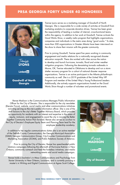

**Goodwill of North Georgia**

Trenise Lyons serves as a marketing manager of Goodwill of North Georgia. She is responsible for a wide variety of activites at Goodwill from marketing analytics to corporate donation drives. Trenise has been given the responsibility of leading a number of internal, cross-functional teams within the agency. In addition to her work at Goodwill, Trenise co-hosts the Good Works Show, a weekly radio program that highlights organizations, companies and individuals in the metro area doing "good works." To date, more than 300 organizations in Greater Atlanta have been interviewd on the show to share their mission with the greater community.

Prior to joining Goodwill, Trenise spent five years working in community engagement and media relations for a nationally recognized disaster education nonprofit. There she worked with cities across the nation to develop and launch hurricane, tornado, flood and winter weather mitigation programs. Following the devastating tornado outbreaks in Moore, OK, Trenise relocated to Oklahoma to develop and run a storm shelter recovery program for a cohort of national disaster response organizations. Trenise is an active participant in the Atlanta philanthropic community as well. She is a 2019 gradutate of the United Way VIP Program and member of the United Way's Young Professional Leaders. Additionally, she actively supports organizations hosted on the Good Works Show though a number of volunteer and promotional events.

Renae Madison is the Communications Manager/Public Information Officer for the City of Decatur. She is responsible for the city newsletter (Decatur Focus), website, social media and other communications initiatives including serving as the city's public information officer. She is one of the staff liaisons to the city's Better Together Advisory Board, which provides an opportunity for residents with an interest and expertise in the areas of equity, inclusion, and engagement to assist the city in moving the Better Together Community Action Plan forward. Renae also serves as co-chair to the City of Decatur's Employee Equity Team and Planning Team lead for the employee leadership academy.

In addition to her regular communications duties she is an active member of the DeKalb County Communicators, the Georgia Municipal Association (GMA) Georgia Communicators Group, City-Counties Communications and Marketing Association (3CMA), and Public Relations Society of America.

Prior to joining the City of Decatur, Renae has spearheaded public relations campaigns following the aftermath of Hurricane Katrina in New Orleans; community outreach and feed the homeless initiatives; and media networking events and social media campaigns.

Renae holds a bachelor's in Mass Communications and Psychology from Xavier University in New Orleans, Louisiana, and is currently pursuing a master's in Writing and Digital Communication at Agnes Scott College.



Renae **MADISON**

**Linked** in

**City of Decatur**

**2020 PRSA GEORGIA FORTY UNDER 40 AWARDS | 16**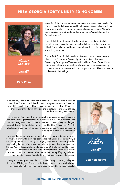

Rachel **MAHER**

**Linkedin** 

**Park Pride**

Since 2013, Rachel has managed marketing and communications for Park Pride — the Atlanta-based nonprofit that engages communities to activate the power of parks — supporting the growth and cohesion of Atlanta's parks constituency and bolstering the organization's reputation as the "voice for parks."

From digital, to print, to social, video, and public relations, Rachel's breadth of communication experience has helped raise local awareness of Park Pride's mission and impact, establishing its position as a thought leader in greenspace.

Prior to Park Pride, Rachel introduced Atlantans to the ride-sharing app Uber as area's first local Community Manager. She's also served as a Community Development Volunteer with the United States Peace Corps in Morocco, where she focused her efforts on empowering community children with the knowledge, skills, and inspiration to tackle environmental challenges in their village.

Katy Mallory – like many other communicators – enjoys wearing many hats and doesn't like to sit still. In addition to being a mom, Katy is Director of Internal Communications at Cox Automotive, supporting Sales + Marketing, Digital Content and Mobility – and she is co-founder and CEO of baby products company SlumberPod.

In her current "day job," Katy is responsible for executive communications and employee engagement for Cox Automotive's 2,200-team member sales and marketing organization. She also oversees channel strategy and digital content strategy for the digital platforms used by Cox Automotive's 20,000 plus team members as well as communications for Cox Automotive Mobility – a new growth area for the company.

You may have seen Katy and her mom Lou on Shark Tank in January when they walked away with a coveted partnership with Barbara Cochran. Katy is especially proud of the company's sales (25,000+ units in two years), and of co-creating the marketing strategy that's led to strong sales. Katy has grown SlumberPod's Instagram following to nearly 30,000 followers and Facebook to 4,500. The company is on track to release several new products this year. Aware of how many people helped her on her journey, Katy regularly and eagerly provides advice to early stage entrepreneurs, especially women.

Katy is a proud graduate of the University of Georgia's Grady College of Journalism (PR degree). She and her husband share a chaotic yet lively and fun household with their three young daughters and two dogs in Decatur.



Katy **MALLÖRY** 

**Linked** in

**Cox Automotive**

**2020 PRSA GEORGIA FORTY UNDER 40 AWARDS | 17**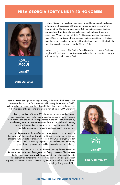

Holland **MCCUE**

**Linkedfin** 

**Delta Air Lines**

Holland McCue is a results-driven marketing and talent operations leader with a proven track record of transforming and building functions from the ground up. Her background spans B2B marketing, communications and employer branding. She currently leads the Employer Brand and Recruitment Marketing team at Delta Air Lines and has held leadership roles at Cox Enterprises and Cox Communications. Additionally, she is a founding board member for the Talent Brand Alliance and contributes to the award-winning human resources site Fistful of Talent.

Holland is a graduate of The Florida State University and lives in Piedmont Heights with her husband and two dogs. When she can, she steals away to visit her family back home in Florida.

Born in Ocean Springs, Mississippi, Lindsay Miles earned a bachelor's in business administration from Mississippi University for Women in 2011. After graduation, she moved to College Station, Texas, where she worked in the Colleges of Engineering and Liberal Arts at Texas A&M University.

During her time at Texas A&M, she served in many marketing and communications roles—all aimed at building relationships with donors and alumni. She grounded her experiences in digital communications by overhauling websites, establishing social media channels and creating content to keep audiences engaged, and running successful email marketing campaigns targeting students, alumni, and donors.

Her notable projects at Texas A&M include serving as a project lead for the university's inaugural participation in SXSW, redesigning the College of Liberal Arts' website, working with retired-NASCAR driver Jeff Gordon to promote a hands-on learning experience for students, and managing groundbreaking event for a multimillion-dollar campus building.

She moved to Atlanta in 2017 and began working for the division of Advancement and Alumni Engagement at Emory University. She oversees digital communications, which include email marketing, social media management and marketing, web development, and video production targeting alumni and donors. She currently lives OTP with her husband and two dogs, Swayze and Oby.



Lindsay **MILES**

**Linked** in

#### **Emory University**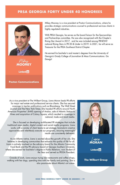



**Linkedin** 

**Poston Communications**

Mikey Mooney is a vice president at Poston Communications, where he provides strategic communications counsel to professional services clients in highly regulated industries.

With PRSA Georgia, he serves as the board liaison for the Sponsorships and Partnerships committee. He was also recognized with the Chapter's Rising Star Award in 2017, and he was included among PRNEWS' national Rising Stars in PR 30 & Under in 2019. In 2021, he will serve as Treasurer for the PRSA Southeast District Chapter.

He earned his bachelor's and master's degrees from the University of Georgia's Grady College of Journalism & Mass Communications. Go

As a vice president at The Wilbert Group, Liana Moran leads PR efforts for major real estate and professional service clients. She has secured coverage in top-tier publications such as Bloomberg, The Wall Street Journal and The New York Times. She headed PR efforts around North American Properties' (NAP) opening of Avalon, sale of Atlantic Station to Hines and acquisition of Colony Square, which resulted in coverage in national, trade and local media.

She is focused on developing multifaceted PR strategies that include traditional news media, digital content and social media programs. Liana works with a variety of client teams to set strategy, brainstorm creative approaches and relentlessly execute our programs, ensuring meaningful results are consistently delivered.

As an Atlanta native, Liana is excited about the growth of her city. She believes in developing communities that enhance the quality of life for all. Liana is actively involved on the advisory board for the Atlanta Community Food Bank and the PR advisory board at Georgia Southern University, where she earned her bachelor's degree in Public Relations, won Student of the Year and served as PRSSA President.

 Outside of work, Liana enjoys trying new restaurants and coffee shops, walking with her dogs, spending time with her family and painting. She is also passionate about Atlanta's art scene.



Liana **MORAN** 

**Linked** in

#### **The Wilbert Group**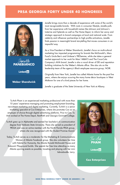

Janelle<br>**DEBIANCO** 

**Linkedfin** 

**Weber Shandwick**

Janelle brings more than a decade of experience with some of the world's most recognizable brands. With roots in consumer lifestyle, Janelle pulls from her experience with household names like Johnson and Johnson's Listerine and Splenda as well as The Home Depot, to inform her savvy and strategic approach to brand campaigns at local and national scale. From celebrity and influencer partnerships to high profile activations, Janelle finds passion in meaningful brand storytelling that moves consumers in an impactful way.

As a Vice President at Weber Shandwick, Janelle's focus on multi-cultural marketing has impacted programming for brands like McDonald's, Mars Food's Uncle Ben's and Unilever's TRESemme, while she takes a general market approach to her work for Mars' M&M'S and The Coca-Cola Company's AHA brand. Janelle is also a vocal driver of DEI and reputation building initiatives for the Weber's Atlanta office. She also sits on the leadership team of the agency's Black employee resource group, NOIR.

Originally from New York, Janelle has called Atlanta home for the past five years, where she enjoys scouring the many home décor boutiques in West Midtown for one of a kind pieces for her home.

Janelle is graduate of the State University of New York at Albany.

Tu-Anh Pham is an experienced marketing professional with more than 10 years' experience managing and promoting employment branding, recruitment marketing and digital marketing. Currently, Tu-Anh is a senior marketing specialist at Cox Enterprises, where she promotes Cox as an employer of choice through digital advertising platforms. Prior to Cox, Tu-Anh worked at The Home Depot, RentPath and Georgia Gwinnett College.

Tu-Anh grew up in Alpharetta and earned her bachelor's in communication degree from Valdosta State University. There she served as president of PRSSA and was an active member with the North Florida PRSA group, where she was recognized with the Student Promise Award.

Today, Tu-Anh serves as a moderator for the Marketing & Communications Women of Atlanta Facebook group. She also volunteers her time with Habitat for Humanity, the Atlanta Ronald McDonald House and Kaboom! Playground builds. She spends her free time attending as many Atlanta sporting events as possible, traveling and playing with her mini labradoodle, Larry.



Tu-Anh **PHAM**

**Linked** in

**Cox Enterprises**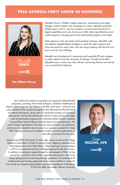

Weredith **PIERCE**

**Linkedin** 

**The Wilbert Group**

Meredith Pierce is Wilbert's digital supervisor, overseeing social media strategy, content creation and campaigns for clients. Meredith joined the Wilbert team in 2015, and has worked to increase and hone the firm's digital capabilities and suite of services to offer clients top-of-the-line social media programs including paid social and branded graphics and videos.

With expertise in the real estate and hospitality industries, Meredith crafts and deploys targeted digital strategies to reach the right audience and drive real results for every client. She also enjoys helping with the firm's pro bono work for City of Refuge.

Meredith has a background in restaurant and hospitality PR and a degree in public relations from the University of Georgia. Outside of the office, Meredith loves to travel, box, hike with her rescue dog Gemma and eat her way around Buford Highway.

Jason Rollins has extensive experience at impressive Atlanta-based companies, including: IHG Hotels & Resorts, Children's Healthcare of Atlanta, global agencies like Edelman and MSL, and Arby's, where he was a key member of the award-winning team that delivered the Pharrell Hat & Jon Stewart activations, along with 23 consecutive quarters of same-store sales growth. He has led internal and external communications for largescale transformation programs for multi-billion-dollar brands, including Crowne Plaza Hotels & Resorts and the Arby's brand revitalization. His work at these organizations have become case studies for our profession, and he has volunteered his time to serve as a speaker or panelist for many PRSA Georgia events and contributed content to various publications so that others can learn from his work.

Since joining PRSA|GA nearly 15 years ago, Jason served as the College Relations Committee Co-Chair for several years, helping to educate future PR professionals on the "Real World." After receiving his Accreditation in 2012, he mentored numerous colleagues going through the process. In addition to making an impact through his involvement in PRSA, he has served the community with his time, expertise and passion. Jason most enjoys giving back by mentoring the next generation of marketing & PR professionals and serving organizations focused on children in need. He has served as a frequent guest speaker and adjunct professor of Marketing & PR at his MBA alma mater, Mercer University.



**ROLLINS, APR** 

**Linked** in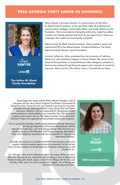



**Linkedfin** 

**The Arthur M. Blank Family Foundation**

Alison Sawyer is the senior director of communications at The Arthur M. Blank Family Foundation. In this role Alison leads all marketing and communication strategies, social media efforts, and media relations for the Foundation. She is motivated by finding the untold story, fueled by endless curiosity and chasing potential and driven by the opportunity to dream up campaigns that create true brand loyalty and belief.

Before joining The Blank Family Foundation, Alison worked in sports and entertainment PR at the Atlanta Hawks, Premiere Exhibitions, The Active Network and the Women's Sports Foundation.

A native Californian, Alison graduated from the University of California Santa Cruz with a bachelor's degree in Pre-Law Studies. She serves on the board of Giving Kitchen, a nonprofit that provides emergency assistance to food service workers through financial support and a network of community resources. Alison and her wife, Ashlyn, have a 10-month-old son Nash.

Sarah began her career with the Metro Atlanta Chamber in 2014 and grew into her role as Senior Program Coordinator of Innovation & Entrepreneurship. During her time, she assisted in growing the innovation ecosystem through supporting Atlanta's many startup hubs and highereducation institutions. She was responsible for developing targeted communications to market Atlanta as an innovation hub. She maintained programs and projects such as; The Open Innovation Forum, Innovation Indicators Project and supported university-based entrepreneur programs.

Prior to joining the Chamber, Sarah gained experience through interning at the Georgia Department of Economic Development with the International Trade team, and at Armstrong Atlantic State University as a teaching assistant in the Education and Foreign Language departments. These roles helped her reconnect with her concentrations in Spanish and International Business.

Currently, she works as a consultant with KWI Communications where she supports clients by creating opportunities for community. For the last two years she has worked on a broad spectrum of internal communications with Chick-fil-A, Inc.

As a Georgia native and an Atlanta transplant, she enjoys all the city has to offer, from discovering new restaurants and attending concerts to frequenting Piedmont's dog park. Sarah resides in East Atlanta Village with her four year old dog, Finley, and is an active volunteer with Agape, City of Refuge and East Atlanta Community Association.



Sarah **SHOUP**

**Linked** in

#### **KWI Communications**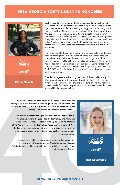

Erica **SMITH**

**Linked** in

**Porter Novelli**

With a decade of consumer and B2B experience, Erica Smith joined the Atlanta office as an account manager in April 2018. Erica leads the agency team responsible for providing strategy and counsel for grocery retailer Food Lion. She also supports the Bayer Crop Science and Bayer AG businesses, managing out on U.S. and global business programs and events in areas including executive visibility, reputation management, thought leadership, media relations, partnerships and content development. In the Atlanta office, she serves as the Diversity Champion, providing strategic counsel, leadership and programmatic efforts to clients and PN employees.

Prior to joining PN, Erica was the corporate communications and public relations manager at Delta Vacations for nearly two years where she created and executed external communications programs to drive brand awareness and visibility with travel agents and consumers. Her expertise has landed her clients coverage in publications including Forbes, SKY magazine, USA Today, Fast Company, Washington Post, Marketwatch, CNBC, TODAY, Fox Business, The New York Times and Business News Daily, among others.

Erica holds degrees in Advertising and Spanish from the University of Georgia and has spent time abroad living in Southeast Asia and South America. When she's not at work, she is working on The BW Factor, a community she founded to help Black and Latinx women ascend to senior levels within their organizations.

Elisabeth Warrick currently serves as the Brand Communications Manager for First Advantage, a leading global provider of identity and information solutions. In this role, Elisabeth leads brand messaging and manages all internal and external communications.

Previously, Elisabeth managed corporate communications at Cox Automotive, where she supported the Technology and Marketing organizations. In 2015, she received the Up and Coming Marketer of the Year Award from the Technology Association of Georgia (TAG). Earlier in her career, she served as writer and editor for a variety of organizations, including an industry trade publication and regional magazine group.

Elisabeth received her undergraduate degree in Journalism from the University of Georgia and her Master's degree in Business Administration from Georgia Tech. She lives with her husband, JP, and toddler, Lucy, in Roswell.



Elisabeth **WARRICK**

**Linked** in

**First Advantage**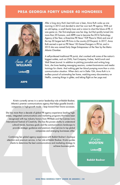

Anna Ruth **WILLIAMS**

Linkedfin

**ARPR**

After a long story that's best told over a beer, Anna Ruth woke up one morning in 2012 and decided to start her own tech PR agency. With just an old laptop, a small family loan and a vision to chart the future of PR, it was game on. Her first employee was her dog, but that quickly turned into more than 20 humans, and ARPR rose to become the 2016 Technology Agency of the Year, a three-time PR News' TOP Place to Work and one of the top 30 largest tech PR firms in the country (O'Dwyers). In 2017, Anna Ruth earned a spot on PR News' 50 Game-Changers in PR list, and in 2015 she was named Early Stage Entrepreneur of the Year by the Metro Atlanta Chamber.

A self-professed traditional PR purist, she's worked with some of the nation's biggest outlets, such as CNN, Fast Company, Forbes, TechCrunch and Wall Street Journal. In addition to pitching journalists and writing longform, she loves leading messaging sessions, content brainstorms and media trainings for clients. And nothing gets her blood pumping more than a crisis communication situation. When she's not in Delta 10A, Anna Ruth is in endless pursuit of automating her home, watching every documentary on Netflix, covering things in glitter, and taking flight on her yoga mat.

Kristin currently serves in a senior leadership role at Babbit Bodner, Atlanta's premier communications agency that helps gazelle brands – companies in high-growth mode – leap toward their future successes.

She has more than a decade of global PR agency experience leading highstakes, integrated communications and marketing programs that have been recognized with top industry honors from PRWeek and the Cannes Lions International Festival of Creativity. She has the proven ability to understand cultural trends, business goals and the communications landscape to provide strategic guidance and premium client service to top global companies and emerging businesses alike.

Combining her global agency experience with Babbit Bodner's boutique attention and premium service, in her role at Babbit Bodner, Kristin guides clients to determine the best communications and marketing strategy to achieve business goals.



Krisin **WOOTEN**

**Linked** in

#### **Babbit Bodner**